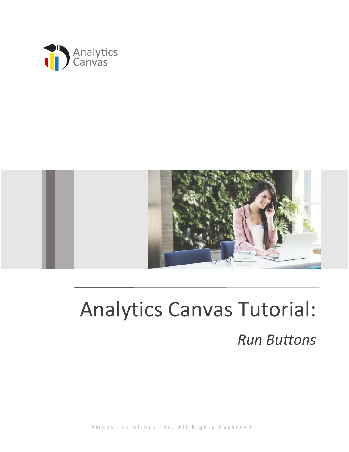



# Analytics Canvas Tutorial: *Run Buttons*

N m o d a l S o l u t i o n s I n c . A l l R i g h t s R e s e r v e d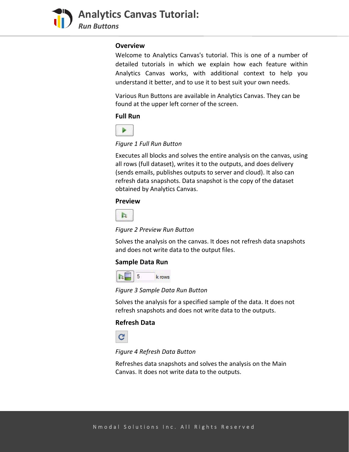

**Analytics Canvas Tutorial:**  *Run Buttons*

#### **Overview**

Welcome to Analytics Canvas's tutorial. This is one of a number of detailed tutorials in which we explain how each feature within Analytics Canvas works, with additional context to help you understand it better, and to use it to best suit your own needs.

Various Run Buttons are available in Analytics Canvas. They can be found at the upper left corner of the screen.

## **Full Run**



## *Figure 1 Full Run Button*

Executes all blocks and solves the entire analysis on the canvas, using all rows (full dataset), writes it to the outputs, and does delivery (sends emails, publishes outputs to server and cloud). It also can refresh data snapshots. Data snapshot is the copy of the dataset obtained by Analytics Canvas.

# **Preview**



#### *Figure 2 Preview Run Button*

Solves the analysis on the canvas. It does not refresh data snapshots and does not write data to the output files.

## **Sample Data Run**



*Figure 3 Sample Data Run Button*

Solves the analysis for a specified sample of the data. It does not refresh snapshots and does not write data to the outputs.

## **Refresh Data**



*Figure 4 Refresh Data Button*

Refreshes data snapshots and solves the analysis on the Main Canvas. It does not write data to the outputs.